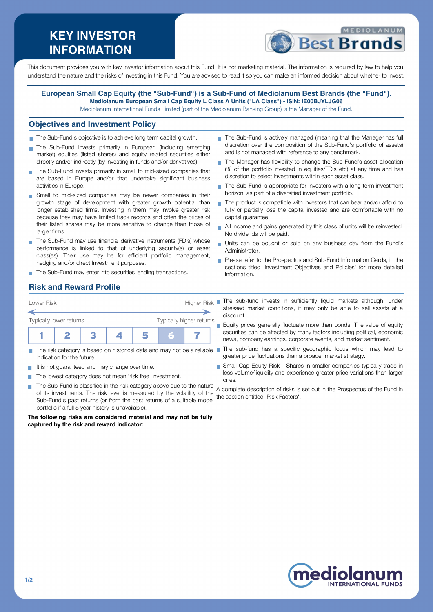# **KEY INVESTOR INFORMATION**



This document provides you with key investor information about this Fund. It is not marketing material. The information is required by law to help you understand the nature and the risks of investing in this Fund. You are advised to read it so you can make an informed decision about whether to invest.

#### **European Small Cap Equity (the "Sub-Fund") is a Sub-Fund of Mediolanum Best Brands (the "Fund"). Mediolanum European Small Cap Equity L Class A Units ("LA Class") - ISIN: IE00BJYLJG06**

Mediolanum International Funds Limited (part of the Mediolanum Banking Group) is the Manager of the Fund.

#### **Objectives and Investment Policy**

- The Sub-Fund's objective is to achieve long term capital growth.
- The Sub-Fund invests primarily in European (including emerging market) equities (listed shares) and equity related securities either directly and/or indirectly (by investing in funds and/or derivatives).
- The Sub-Fund invests primarily in small to mid-sized companies that are based in Europe and/or that undertake significant business activities in Europe.
- Small to mid-sized companies may be newer companies in their growth stage of development with greater growth potential than longer established firms. Investing in them may involve greater risk because they may have limited track records and often the prices of their listed shares may be more sensitive to change than those of larger firms.
- The Sub-Fund may use financial derivative instruments (FDIs) whose performance is linked to that of underlying security(s) or asset class(es). Their use may be for efficient portfolio management, hedging and/or direct Investment purposes.
- The Sub-Fund may enter into securities lending transactions.
- The Sub-Fund is actively managed (meaning that the Manager has full discretion over the composition of the Sub-Fund's portfolio of assets) and is not managed with reference to any benchmark.
- The Manager has flexibility to change the Sub-Fund's asset allocation (% of the portfolio invested in equities/FDIs etc) at any time and has discretion to select investments within each asset class.
- The Sub-Fund is appropriate for investors with a long term investment  $\overline{\phantom{a}}$ horizon, as part of a diversified investment portfolio.
- The product is compatible with investors that can bear and/or afford to  $\overline{\phantom{a}}$ fully or partially lose the capital invested and are comfortable with no capital guarantee.
- All income and gains generated by this class of units will be reinvested. No dividends will be paid.
- Units can be bought or sold on any business day from the Fund's Administrator.
- **Please refer to the Prospectus and Sub-Fund Information Cards, in the** sections titled 'Investment Objectives and Policies' for more detailed information.

# **Risk and Reward Profile**



- П indication for the future.
- It is not guaranteed and may change over time.
- The lowest category does not mean 'risk free' investment.
- The Sub-Fund is classified in the risk category above due to the nature  $\blacksquare$ A complete description of risks is set out in the Prospectus of the Fund in of its investments. The risk level is measured by the volatility of the the section entitled 'Risk Factors'.Sub-Fund's past returns (or from the past returns of a suitable model portfolio if a full 5 year history is unavailable).

**The following risks are considered material and may not be fully captured by the risk and reward indicator:**

- stressed market conditions, it may only be able to sell assets at a discount.
- Equity prices generally fluctuate more than bonds. The value of equity  $\overline{\phantom{a}}$ securities can be affected by many factors including political, economic news, company earnings, corporate events, and market sentiment.
- The risk category is based on historical data and may not be a reliable The sub-fund has a specific geographic focus which may lead to greater price fluctuations than a broader market strategy.
	- Small Cap Equity Risk Shares in smaller companies typically trade in less volume/liquidity and experience greater price variations than larger ones.